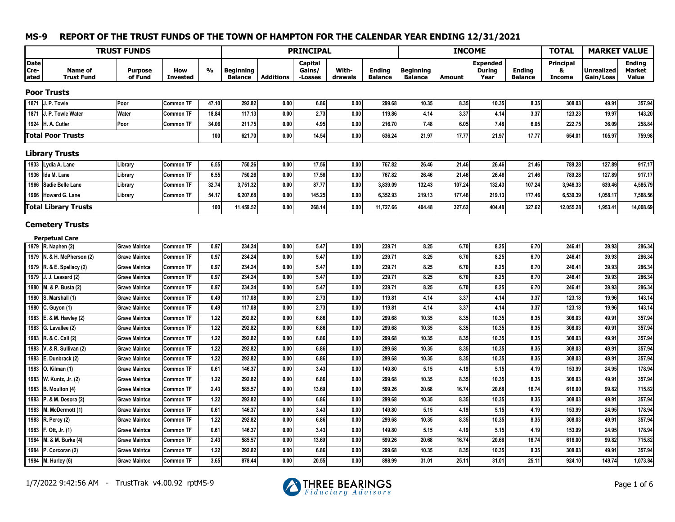|                       |                                                    | <b>TRUST FUNDS</b>                           |                                      |              |                                    |                  | <b>PRINCIPAL</b>             |                  |                                 |                                    | <b>INCOME</b> |                                          |                                 | <b>TOTAL</b>                            | <b>MARKET VALUE</b>            |                                  |
|-----------------------|----------------------------------------------------|----------------------------------------------|--------------------------------------|--------------|------------------------------------|------------------|------------------------------|------------------|---------------------------------|------------------------------------|---------------|------------------------------------------|---------------------------------|-----------------------------------------|--------------------------------|----------------------------------|
| Date<br>Cre-<br>lated | <b>Name of</b><br><b>Trust Fund</b>                | <b>Purpose</b><br>of Fund                    | How<br><b>Invested</b>               | %            | <b>Beginning</b><br><b>Balance</b> | <b>Additions</b> | Capital<br>Gains/<br>-Losses | With-<br>drawals | <b>Ending</b><br><b>Balance</b> | <b>Beginning</b><br><b>Balance</b> | <b>Amount</b> | <b>Expended</b><br><b>During</b><br>Year | <b>Ending</b><br><b>Balance</b> | <b>Principal</b><br>8.<br><b>Income</b> | <b>Unrealized</b><br>Gain/Loss | <b>Ending</b><br>Market<br>Value |
|                       | <b>Poor Trusts</b>                                 |                                              |                                      |              |                                    |                  |                              |                  |                                 |                                    |               |                                          |                                 |                                         |                                |                                  |
|                       | 1871 J. P. Towle                                   | Poor                                         | <b>Common TF</b>                     | 47.10        | 292.82                             | 0.00             | 6.86                         | 0.00             | 299.68                          | 10.35                              | 8.35          | 10.35                                    | 8.35                            | 308.03                                  | 49.91                          | 357.94                           |
|                       | 1871 J. P. Towle Water                             | Water                                        | <b>Common TF</b>                     | 18.84        | 117.13                             | 0.00             | 2.73                         | 0.00             | 119.86                          | 4.14                               | 3.37          | 4.14                                     | 3.37                            | 123.23                                  | 19.97                          | 143.20                           |
|                       | 1924   H. A. Cutler                                | Poor                                         | Common TF                            | 34.06        | 211.75                             | 0.00             | 4.95                         | 0.00             | 216.70                          | 7.48                               | 6.05          | 7.48                                     | 6.05                            | 222.75                                  | 36.09                          | 258.84                           |
|                       | <b>Total Poor Trusts</b>                           |                                              |                                      | 100          | 621.70                             | 0.00             | 14.54                        | 0.00             | 636.24                          | 21.97                              | 17.77         | 21.97                                    | 17.77                           | 654.01                                  | 105.97                         | 759.98                           |
|                       | <b>Library Trusts</b>                              |                                              |                                      |              |                                    |                  |                              |                  |                                 |                                    |               |                                          |                                 |                                         |                                |                                  |
|                       | 1933 Lydia A. Lane                                 | Library                                      | <b>Common TF</b>                     | 6.55         | 750.26                             | 0.00             | 17.56                        | 0.00             | 767.82                          | 26.46                              | 21.46         | 26.46                                    | 21.46                           | 789.28                                  | 127.89                         | 917.17                           |
|                       | 1936   Ida M. Lane                                 | Library                                      | Common TF                            | 6.55         | 750.26                             | 0.00             | 17.56                        | 0.00             | 767.82                          | 26.46                              | 21.46         | 26.46                                    | 21.46                           | 789.28                                  | 127.89                         | 917.17                           |
| 1966                  | Sadie Belle Lane                                   | Library                                      | Common TF                            | 32.74        | 3,751.32                           | 0.00             | 87.77                        | 0.00             | 3,839.09                        | 132.43                             | 107.24        | 132.43                                   | 107.24                          | 3,946.33                                | 639.46                         | 4,585.79                         |
|                       | 1966 Howard G. Lane                                | Library                                      | <b>Common TF</b>                     | 54.17        | 6,207.68                           | 0.00             | 145.25                       | 0.00             | 6,352.93                        | 219.13                             | 177.46        | 219.13                                   | 177.46                          | 6,530.39                                | 1,058.17                       | 7,588.56                         |
|                       | <b>Total Library Trusts</b>                        |                                              |                                      | 100          | 11,459.52                          | 0.00             | 268.14                       | 0.00             | 11,727.66                       | 404.48                             | 327.62        | 404.48                                   | 327.62                          | 12,055.28                               | 1,953.41                       | 14,008.69                        |
|                       | <b>Cemetery Trusts</b><br><b>Perpetual Care</b>    |                                              |                                      |              |                                    |                  |                              |                  |                                 |                                    |               |                                          |                                 |                                         |                                |                                  |
|                       | 1979 R. Naphen (2)                                 | <b>Grave Maintce</b>                         | <b>Common TF</b>                     | 0.97         | 234.24                             | 0.00             | 5.47                         | 0.00             | 239.71                          | 8.25                               | 6.70          | 8.25                                     | 6.70                            | 246.41                                  | 39.93                          | 286.34                           |
|                       | 1979 N. & H. McPherson (2)                         | <b>Grave Maintce</b>                         | <b>Common TF</b>                     | 0.97         | 234.24                             | 0.00             | 5.47                         | 0.00             | 239.71                          | 8.25                               | 6.70          | 8.25                                     | 6.70                            | 246.41                                  | 39.93                          | 286.34                           |
|                       | 1979 R. & E. Spellacy (2)                          | <b>Grave Maintce</b>                         | Common TF                            | 0.97         | 234.24                             | 0.00             | 5.47                         | 0.00             | 239.71                          | 8.25                               | 6.70          | 8.25                                     | 6.70                            | 246.41                                  | 39.93                          | 286.34                           |
|                       | 1979 J. J. Lessard (2)                             | <b>Grave Maintce</b>                         | <b>Common TF</b>                     | 0.97         | 234.24                             | 0.00             | 5.47                         | 0.00             | 239.71                          | 8.25                               | 6.70          | 8.25                                     | 6.70                            | 246.41                                  | 39.93                          | 286.34                           |
|                       | 1980   M. & P. Busta (2)                           | <b>Grave Maintce</b>                         | <b>Common TF</b>                     | 0.97         | 234.24                             | 0.00             | 5.47                         | 0.00             | 239.71                          | 8.25                               | 6.70          | 8.25                                     | 6.70                            | 246.41                                  | 39.93                          | 286.34                           |
| 1980                  | S. Marshall (1)                                    | <b>Grave Maintce</b>                         | <b>Common TF</b>                     | 0.49         | 117.08                             | 0.00             | 2.73                         | 0.00             | 119.81                          | 4.14                               | 3.37          | 4.14                                     | 3.37                            | 123.18                                  | 19.96                          | 143.14                           |
|                       | 1980 C. Guyon (1)                                  | <b>Grave Maintce</b>                         | <b>Common TF</b>                     | 0.49         | 117.08                             | 0.00             | 2.73                         | 0.00             | 119.81                          | 4.14                               | 3.37          | 4.14                                     | 3.37                            | 123.18                                  | 19.96                          | 143.14                           |
|                       | 1983 E. & M. Hawley (2)                            | <b>Grave Maintce</b>                         | <b>Common TF</b>                     | 1.22         | 292.82                             | 0.00             | 6.86                         | 0.00             | 299.68                          | 10.35                              | 8.35          | 10.35                                    | 8.35                            | 308.03                                  | 49.91                          | 357.94                           |
|                       | 1983 G. Lavallee (2)                               | <b>Grave Maintce</b>                         | <b>Common TF</b>                     | 1.22<br>1.22 | 292.82<br>292.82                   | 0.00<br>0.00     | 6.86<br>6.86                 | 0.00             | 299.68<br>299.68                | 10.35<br>10.35                     | 8.35<br>8.35  | 10.35                                    | 8.35<br>8.35                    | 308.03                                  | 49.91<br>49.91                 | 357.94                           |
|                       | 1983 R. & C. Call (2)<br>1983 V. & R. Sullivan (2) | <b>Grave Maintce</b><br><b>Grave Maintce</b> | <b>Common TF</b><br><b>Common TF</b> | 1.22         | 292.82                             | 0.00             | 6.86                         | 0.00<br>0.00     | 299.68                          | 10.35                              | 8.35          | 10.35<br>10.35                           | 8.35                            | 308.03<br>308.03                        | 49.91                          | 357.94<br>357.94                 |
|                       | 1983   E. Dunbrack (2)                             | <b>Grave Maintce</b>                         | <b>Common TF</b>                     | 1.22         | 292.82                             | 0.00             | 6.86                         | 0.00             | 299.68                          | 10.35                              | 8.35          | 10.35                                    | 8.35                            | 308.03                                  | 49.91                          | 357.94                           |
|                       | 1983   O. Kilman (1)                               | <b>Grave Maintce</b>                         | <b>Common TF</b>                     | 0.61         | 146.37                             | 0.00             | 3.43                         | 0.00             | 149.80                          | 5.15                               | 4.19          | 5.15                                     | 4.19                            | 153.99                                  | 24.95                          | 178.94                           |
|                       | 1983   W. Kuntz, Jr. (2)                           | <b>Grave Maintce</b>                         | <b>Common TF</b>                     | 1.22         | 292.82                             | 0.00             | 6.86                         | 0.00             | 299.68                          | 10.35                              | 8.35          | 10.35                                    | 8.35                            | 308.03                                  | 49.91                          | 357.94                           |
|                       | 1983 B. Moulton (4)                                | <b>Grave Maintce</b>                         | <b>Common TF</b>                     | 2.43         | 585.57                             | 0.00             | 13.69                        | 0.00             | 599.26                          | 20.68                              | 16.74         | 20.68                                    | 16.74                           | 616.00                                  | 99.82                          | 715.82                           |
|                       | 1983   P. & M. Desora (2)                          | <b>Grave Maintce</b>                         | <b>Common TF</b>                     | 1.22         | 292.82                             | 0.00             | 6.86                         | 0.00             | 299.68                          | 10.35                              | 8.35          | 10.35                                    | 8.35                            | 308.03                                  | 49.91                          | 357.94                           |
|                       | 1983 M. McDermott (1)                              | <b>Grave Maintce</b>                         | <b>Common TF</b>                     | 0.61         | 146.37                             | 0.00             | 3.43                         | 0.00             | 149.80                          | 5.15                               | 4.19          | 5.15                                     | 4.19                            | 153.99                                  | 24.95                          | 178.94                           |
|                       | 1983 R. Percy (2)                                  | <b>Grave Maintce</b>                         | <b>Common TF</b>                     | 1.22         | 292.82                             | 0.00             | 6.86                         | 0.00             | 299.68                          | 10.35                              | 8.35          | 10.35                                    | 8.35                            | 308.03                                  | 49.91                          | 357.94                           |
|                       | 1983   F. Ott, Jr. (1)                             | <b>Grave Maintce</b>                         | <b>Common TF</b>                     | 0.61         | 146.37                             | 0.00             | 3.43                         | 0.00             | 149.80                          | 5.15                               | 4.19          | 5.15                                     | 4.19                            | 153.99                                  | 24.95                          | 178.94                           |
|                       | 1984 M. & M. Burke (4)                             | <b>Grave Maintce</b>                         | Common TF                            | 2.43         | 585.57                             | 0.00             | 13.69                        | 0.00             | 599.26                          | 20.68                              | 16.74         | 20.68                                    | 16.74                           | 616.00                                  | 99.82                          | 715.82                           |
|                       | 1984   P. Corcoran (2)                             | <b>Grave Maintce</b>                         | <b>Common TF</b>                     | 1.22         | 292.82                             | 0.00             | 6.86                         | 0.00             | 299.68                          | 10.35                              | 8.35          | 10.35                                    | 8.35                            | 308.03                                  | 49.91                          | 357.94                           |
|                       | 1984   M. Hurley (6)                               | <b>Grave Maintce</b>                         | <b>Common TF</b>                     | 3.65         | 878.44                             | 0.00             | 20.55                        | 0.00             | 898.99                          | 31.01                              | 25.11         | 31.01                                    | 25.11                           | 924.10                                  | 149.74                         | 1,073.84                         |

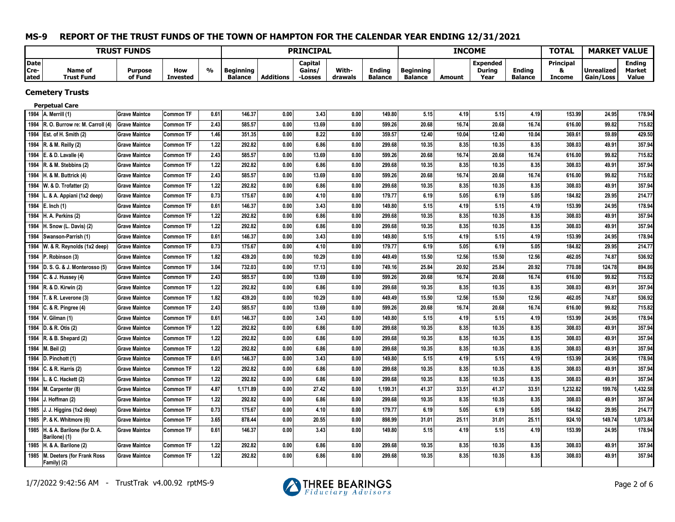|                              |                                                   | <b>TRUST FUNDS</b>        |                        |      |                                    |                  | <b>PRINCIPAL</b>             |                  |                                 |                             |               | <b>INCOME</b>                     |                                 | <b>TOTAL</b>                            |                         | <b>MARKET VALUE</b>              |
|------------------------------|---------------------------------------------------|---------------------------|------------------------|------|------------------------------------|------------------|------------------------------|------------------|---------------------------------|-----------------------------|---------------|-----------------------------------|---------------------------------|-----------------------------------------|-------------------------|----------------------------------|
| <b>D</b> ate<br>Cre-<br>ated | <b>Name of</b><br><b>Trust Fund</b>               | <b>Purpose</b><br>of Fund | How<br><b>Invested</b> | %    | <b>Beginning</b><br><b>Balance</b> | <b>Additions</b> | Capital<br>Gains/<br>-Losses | With-<br>drawals | <b>Ending</b><br><b>Balance</b> | Beginning<br><b>Balance</b> | <b>Amount</b> | Expended<br><b>During</b><br>Year | <b>Ending</b><br><b>Balance</b> | <b>Principal</b><br>8.<br><b>Income</b> | Unrealized<br>Gain/Loss | Endina<br><b>Market</b><br>Value |
|                              | <b>Cemetery Trusts</b>                            |                           |                        |      |                                    |                  |                              |                  |                                 |                             |               |                                   |                                 |                                         |                         |                                  |
|                              | <b>Perpetual Care</b>                             |                           |                        |      |                                    |                  |                              |                  |                                 |                             |               |                                   |                                 |                                         |                         |                                  |
|                              | 1984   A. Merrill (1)                             | <b>Grave Maintce</b>      | <b>Common TF</b>       | 0.61 | 146.37                             | 0.00             | 3.43                         | 0.00             | 149.80                          | 5.15                        | 4.19          | 5.15                              | 4.19                            | 153.99                                  | 24.95                   | 178.94                           |
|                              | 1984 R. O. Burrow re: M. Carroll (4)              | <b>Grave Maintce</b>      | Common TF              | 2.43 | 585.57                             | 0.00             | 13.69                        | 0.00             | 599.26                          | 20.68                       | 16.74         | 20.68                             | 16.74                           | 616.00                                  | 99.82                   | 715.82                           |
|                              | 1984 Est. of H. Smith (2)                         | <b>Grave Maintce</b>      | Common TF              | 1.46 | 351.35                             | 0.00             | 8.22                         | 0.00             | 359.57                          | 12.40                       | 10.04         | 12.40                             | 10.04                           | 369.61                                  | 59.89                   | 429.50                           |
|                              | 1984 R. & M. Reilly (2)                           | <b>Grave Maintce</b>      | Common TF              | 1.22 | 292.82                             | 0.00             | 6.86                         | 0.00             | 299.68                          | 10.35                       | 8.35          | 10.35                             | 8.35                            | 308.03                                  | 49.91                   | 357.94                           |
|                              | 1984 E. & D. Lavalle (4)                          | <b>Grave Maintce</b>      | <b>Common TF</b>       | 2.43 | 585.57                             | 0.00             | 13.69                        | 0.00             | 599.26                          | 20.68                       | 16.74         | 20.68                             | 16.74                           | 616.00                                  | 99.82                   | 715.82                           |
|                              | 1984 R. & M. Stebbins (2)                         | <b>Grave Maintce</b>      | <b>Common TF</b>       | 1.22 | 292.82                             | 0.00             | 6.86                         | 0.00             | 299.68                          | 10.35                       | 8.35          | 10.35                             | 8.35                            | 308.03                                  | 49.91                   | 357.94                           |
|                              | 1984 H. & M. Buttrick (4)                         | <b>Grave Maintce</b>      | Common TF              | 2.43 | 585.57                             | 0.00             | 13.69                        | 0.00             | 599.26                          | 20.68                       | 16.74         | 20.68                             | 16.74                           | 616.00                                  | 99.82                   | 715.82                           |
|                              | 1984   W. & D. Trofatter (2)                      | <b>Grave Maintce</b>      | <b>Common TF</b>       | 1.22 | 292.82                             | 0.00             | 6.86                         | 0.00             | 299.68                          | 10.35                       | 8.35          | 10.35                             | 8.35                            | 308.03                                  | 49.91                   | 357.94                           |
| 1984                         | & A. Appiani (1x2 deep)                           | <b>Grave Maintce</b>      | <b>Common TF</b>       | 0.73 | 175.67                             | 0.00             | 4.10                         | 0.00             | 179.77                          | 6.19                        | 5.05          | 6.19                              | 5.05                            | 184.82                                  | 29.95                   | 214.77                           |
|                              | 1984 E. Inch (1)                                  | <b>Grave Maintce</b>      | Common TF              | 0.61 | 146.37                             | 0.00             | 3.43                         | 0.00             | 149.80                          | 5.15                        | 4.19          | 5.15                              | 4.19                            | 153.99                                  | 24.95                   | 178.94                           |
|                              | 1984  H. A. Perkins (2)                           | <b>Grave Maintce</b>      | Common TF              | 1.22 | 292.82                             | 0.00             | 6.86                         | 0.00             | 299.68                          | 10.35                       | 8.35          | 10.35                             | 8.35                            | 308.03                                  | 49.91                   | 357.94                           |
| 1984                         | H. Snow (L. Davis) (2)                            | <b>Grave Maintce</b>      | Common TF              | 1.22 | 292.82                             | 0.00             | 6.86                         | 0.00             | 299.68                          | 10.35                       | 8.35          | 10.35                             | 8.35                            | 308.03                                  | 49.91                   | 357.94                           |
|                              | 1984 Swanson-Parrish (1)                          | <b>Grave Maintce</b>      | <b>Common TF</b>       | 0.61 | 146.37                             | 0.00             | 3.43                         | 0.00             | 149.80                          | 5.15                        | 4.19          | 5.15                              | 4.19                            | 153.99                                  | 24.95                   | 178.94                           |
| 1984                         | W. & R. Reynolds (1x2 deep)                       | <b>Grave Maintce</b>      | Common TF              | 0.73 | 175.67                             | 0.00             | 4.10                         | 0.00             | 179.77                          | 6.19                        | 5.05          | 6.19                              | 5.05                            | 184.82                                  | 29.95                   | 214.77                           |
| 1984                         | P. Robinson (3)                                   | <b>Grave Maintce</b>      | Common TF              | 1.82 | 439.20                             | 0.00             | 10.29                        | 0.00             | 449.49                          | 15.50                       | 12.56         | 15.50                             | 12.56                           | 462.05                                  | 74.87                   | 536.92                           |
|                              | 1984 D. S. G. & J. Monterosso (5)                 | <b>Grave Maintce</b>      | <b>Common TF</b>       | 3.04 | 732.03                             | 0.00             | 17.13                        | 0.00             | 749.16                          | 25.84                       | 20.92         | 25.84                             | 20.92                           | 770.08                                  | 124.78                  | 894.86                           |
|                              | 1984 C. & J. Hussey (4)                           | <b>Grave Maintce</b>      | Common TF              | 2.43 | 585.57                             | 0.00             | 13.69                        | 0.00             | 599.26                          | 20.68                       | 16.74         | 20.68                             | 16.74                           | 616.00                                  | 99.82                   | 715.82                           |
| 1984                         | R. & D. Kirwin (2)                                | <b>Grave Maintce</b>      | Common TF              | 1.22 | 292.82                             | 0.00             | 6.86                         | 0.00             | 299.68                          | 10.35                       | 8.35          | 10.35                             | 8.35                            | 308.03                                  | 49.91                   | 357.94                           |
| 1984                         | $T. & R.$ Leverone (3)                            | <b>Grave Maintce</b>      | <b>Common TF</b>       | 1.82 | 439.20                             | 0.00             | 10.29                        | 0.00             | 449.49                          | 15.50                       | 12.56         | 15.50                             | 12.56                           | 462.05                                  | 74.87                   | 536.92                           |
|                              | 1984 C. & R. Pingree (4)                          | <b>Grave Maintce</b>      | Common TF              | 2.43 | 585.57                             | 0.00             | 13.69                        | 0.00             | 599.26                          | 20.68                       | 16.74         | 20.68                             | 16.74                           | 616.00                                  | 99.82                   | 715.82                           |
| 1984                         | V. Gilman (1)                                     | <b>Grave Maintce</b>      | Common TF              | 0.61 | 146.37                             | 0.00             | 3.43                         | 0.00             | 149.80                          | 5.15                        | 4.19          | 5.15                              | 4.19                            | 153.99                                  | 24.95                   | 178.94                           |
|                              | 1984 D. & R. Otis (2)                             | <b>Grave Maintce</b>      | Common TF              | 1.22 | 292.82                             | 0.00             | 6.86                         | 0.00             | 299.68                          | 10.35                       | 8.35          | 10.35                             | 8.35                            | 308.03                                  | 49.91                   | 357.94                           |
|                              | 1984 R. & B. Shepard (2)                          | <b>Grave Maintce</b>      | Common TF              | 1.22 | 292.82                             | 0.00             | 6.86                         | 0.00             | 299.68                          | 10.35                       | 8.35          | 10.35                             | 8.35                            | 308.03                                  | 49.91                   | 357.94                           |
|                              | 1984   M. Beil (2)                                | <b>Grave Maintce</b>      | <b>Common TF</b>       | 1.22 | 292.82                             | 0.00             | 6.86                         | 0.00             | 299.68                          | 10.35                       | 8.35          | 10.35                             | 8.35                            | 308.03                                  | 49.91                   | 357.94                           |
|                              | 1984 D. Pinchott (1)                              | <b>Grave Maintce</b>      | Common TF              | 0.61 | 146.37                             | 0.00             | 3.43                         | 0.00             | 149.80                          | 5.15                        | 4.19          | 5.15                              | 4.19                            | 153.99                                  | 24.95                   | 178.94                           |
| 1984                         | $ C. 8. R.$ Harris (2)                            | <b>Grave Maintce</b>      | Common TF              | 1.22 | 292.82                             | 0.00             | 6.86                         | 0.00             | 299.68                          | 10.35                       | 8.35          | 10.35                             | 8.35                            | 308.03                                  | 49.91                   | 357.94                           |
| 1984                         | L. & C. Hackett (2)                               | <b>Grave Maintce</b>      | Common TF              | 1.22 | 292.82                             | 0.00             | 6.86                         | 0.00             | 299.68                          | 10.35                       | 8.35          | 10.35                             | 8.35                            | 308.03                                  | 49.91                   | 357.94                           |
| 1984                         | M. Carpenter (8)                                  | <b>Grave Maintce</b>      | Common TF              | 4.87 | 1,171.89                           | 0.00             | 27.42                        | 0.00             | 1,199.31                        | 41.37                       | 33.51         | 41.37                             | 33.51                           | 1,232.82                                | 199.76                  | 1,432.58                         |
|                              | 1984   J. Hoffman (2)                             | <b>Grave Maintce</b>      | Common TF              | 1.22 | 292.82                             | 0.00             | 6.86                         | 0.00             | 299.68                          | 10.35                       | 8.35          | 10.35                             | 8.35                            | 308.03                                  | 49.91                   | 357.94                           |
|                              | 1985  J. J. Higgins (1x2 deep)                    | <b>Grave Maintce</b>      | Common TF              | 0.73 | 175.67                             | 0.00             | 4.10                         | 0.00             | 179.77                          | 6.19                        | 5.05          | 6.19                              | 5.05                            | 184.82                                  | 29.95                   | 214.77                           |
|                              | 1985 P. & K. Whitmore (6)                         | <b>Grave Maintce</b>      | Common TF              | 3.65 | 878.44                             | 0.00             | 20.55                        | 0.00             | 898.99                          | 31.01                       | 25.11         | 31.01                             | 25.11                           | 924.10                                  | 149.74                  | 1,073.84                         |
|                              | 1985 H. & A. Barilone (for D. A.<br>Barilone) (1) | <b>Grave Maintce</b>      | <b>Common TF</b>       | 0.61 | 146.37                             | 0.00             | 3.43                         | 0.00             | 149.80                          | 5.15                        | 4.19          | 5.15                              | 4.19                            | 153.99                                  | 24.95                   | 178.94                           |
|                              | 1985  H. & A. Barilone (2)                        | <b>Grave Maintce</b>      | Common TF              | 1.22 | 292.82                             | 0.00             | 6.86                         | 0.00             | 299.68                          | 10.35                       | 8.35          | 10.35                             | 8.35                            | 308.03                                  | 49.91                   | 357.94                           |
|                              | 1985 M. Deeters (for Frank Ross<br>Family) (2)    | <b>Grave Maintce</b>      | Common TF              | 1.22 | 292.82                             | 0.00             | 6.86                         | 0.00             | 299.68                          | 10.35                       | 8.35          | 10.35                             | 8.35                            | 308.03                                  | 49.91                   | 357.94                           |

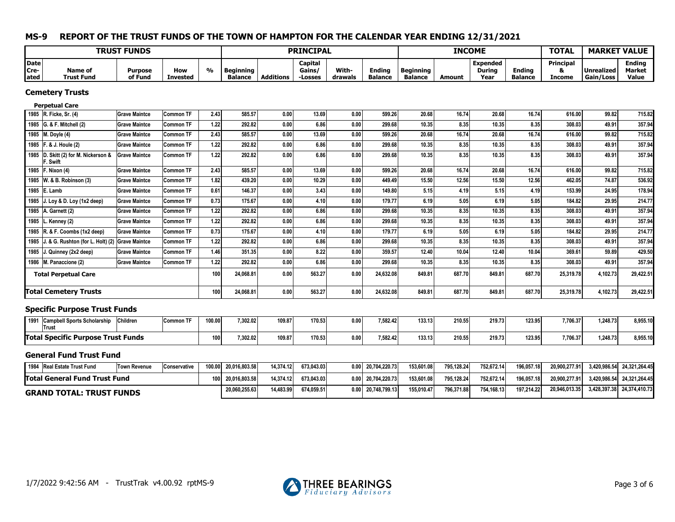|                             |                                                      | <b>TRUST FUNDS</b>        |                        |               |                                    |                  | <b>PRINCIPAL</b>             |                  |                                 |                                    |        | <b>INCOME</b>                            |                                 | <b>TOTAL</b>                           | <b>MARKET VALUE</b>            |                                         |
|-----------------------------|------------------------------------------------------|---------------------------|------------------------|---------------|------------------------------------|------------------|------------------------------|------------------|---------------------------------|------------------------------------|--------|------------------------------------------|---------------------------------|----------------------------------------|--------------------------------|-----------------------------------------|
| <b>Date</b><br>Cre-<br>ated | Name of<br><b>Trust Fund</b>                         | <b>Purpose</b><br>of Fund | How<br><b>Invested</b> | $\frac{0}{0}$ | <b>Beginning</b><br><b>Balance</b> | <b>Additions</b> | Capital<br>Gains/<br>-Losses | With-<br>drawals | <b>Ending</b><br><b>Balance</b> | <b>Beginning</b><br><b>Balance</b> | Amount | <b>Expended</b><br><b>During</b><br>Year | <b>Ending</b><br><b>Balance</b> | <b>Principal</b><br>&<br><b>Income</b> | <b>Unrealized</b><br>Gain/Loss | <b>Ending</b><br><b>Market</b><br>Value |
|                             | <b>Cemetery Trusts</b>                               |                           |                        |               |                                    |                  |                              |                  |                                 |                                    |        |                                          |                                 |                                        |                                |                                         |
|                             | <b>Perpetual Care</b>                                |                           |                        |               |                                    |                  |                              |                  |                                 |                                    |        |                                          |                                 |                                        |                                |                                         |
|                             | 1985 R. Ficke, Sr. (4)                               | <b>Grave Maintce</b>      | <b>Common TF</b>       | 2.43          | 585.57                             | 0.00             | 13.69                        | 0.00             | 599.26                          | 20.68                              | 16.74  | 20.68                                    | 16.74                           | 616.00                                 | 99.82                          | 715.82                                  |
|                             | 1985 G. & F. Mitchell (2)                            | <b>Grave Maintce</b>      | <b>Common TF</b>       | 1.22          | 292.82                             | 0.00             | 6.86                         | 0.00             | 299.68                          | 10.35                              | 8.35   | 10.35                                    | 8.35                            | 308.03                                 | 49.91                          | 357.94                                  |
|                             | 1985 M. Doyle (4)                                    | <b>Grave Maintce</b>      | <b>Common TF</b>       | 2.43          | 585.57                             | 0.00             | 13.69                        | 0.00             | 599.26                          | 20.68                              | 16.74  | 20.68                                    | 16.74                           | 616.00                                 | 99.82                          | 715.82                                  |
|                             | 1985   F. & J. Houle (2)                             | <b>Grave Maintce</b>      | <b>Common TF</b>       | 1.22          | 292.82                             | 0.00             | 6.86                         | 0.00             | 299.68                          | 10.35                              | 8.35   | 10.35                                    | 8.35                            | 308.03                                 | 49.91                          | 357.94                                  |
|                             | 1985 D. Skitt (2) for M. Nickerson &<br>F. Swift     | <b>Grave Maintce</b>      | <b>Common TF</b>       | 1.22          | 292.82                             | 0.00             | 6.86                         | 0.00             | 299.68                          | 10.35                              | 8.35   | 10.35                                    | 8.35                            | 308.03                                 | 49.91                          | 357.94                                  |
|                             | 1985   F. Nixon (4)                                  | <b>Grave Maintce</b>      | <b>Common TF</b>       | 2.43          | 585.57                             | 0.00             | 13.69                        | 0.00             | 599.26                          | 20.68                              | 16.74  | 20.68                                    | 16.74                           | 616.00                                 | 99.82                          | 715.82                                  |
|                             | 1985 W. & B. Robinson (3)                            | <b>Grave Maintce</b>      | <b>Common TF</b>       | 1.82          | 439.20                             | 0.00             | 10.29                        | 0.00             | 449.49                          | 15.50                              | 12.56  | 15.50                                    | 12.56                           | 462.05                                 | 74.87                          | 536.92                                  |
|                             | 1985 E. Lamb                                         | <b>Grave Maintce</b>      | <b>Common TF</b>       | 0.61          | 146.37                             | 0.00             | 3.43                         | 0.00             | 149.80                          | 5.15                               | 4.19   | 5.15                                     | 4.19                            | 153.99                                 | 24.95                          | 178.94                                  |
| 1985                        | J. Loy & D. Loy $(1x2$ deep)                         | <b>Grave Maintce</b>      | <b>Common TF</b>       | 0.73          | 175.67                             | 0.00             | 4.10                         | 0.00             | 179.77                          | 6.19                               | 5.05   | 6.19                                     | 5.05                            | 184.82                                 | 29.95                          | 214.77                                  |
| 1985                        | A. Garnett (2)                                       | <b>Grave Maintce</b>      | <b>Common TF</b>       | 1.22          | 292.82                             | 0.00             | 6.86                         | 0.00             | 299.68                          | 10.35                              | 8.35   | 10.35                                    | 8.35                            | 308.03                                 | 49.91                          | 357.94                                  |
| 1985                        | L. Kenney (2)                                        | <b>Grave Maintce</b>      | <b>Common TF</b>       | 1.22          | 292.82                             | 0.00             | 6.86                         | 0.00             | 299.68                          | 10.35                              | 8.35   | 10.35                                    | 8.35                            | 308.03                                 | 49.91                          | 357.94                                  |
|                             | 1985 R. & F. Coombs (1x2 deep)                       | <b>Grave Maintce</b>      | <b>Common TF</b>       | 0.73          | 175.67                             | 0.00             | 4.10                         | 0.00             | 179.77                          | 6.19                               | 5.05   | 6.19                                     | 5.05                            | 184.82                                 | 29.95                          | 214.77                                  |
|                             | 1985 J. & G. Rushton (for L. Holt) (2) Grave Maintce |                           | Common TF              | $1.22$        | 292.82                             | 0.00             | 6.86                         | 0.00             | 299.68                          | 10.35                              | 8.35   | 10.35                                    | 8.35                            | 308.03                                 | 49.91                          | 357.94                                  |
|                             | 1985 $J.$ Quinney (2x2 deep)                         | <b>Grave Maintce</b>      | <b>Common TF</b>       | 1.46          | 351.35                             | 0.00             | 8.22                         | 0.00             | 359.57                          | 12.40                              | 10.04  | 12.40                                    | 10.04                           | 369.61                                 | 59.89                          | 429.50                                  |
|                             | 1986 M. Panaccione (2)                               | <b>Grave Maintce</b>      | <b>Common TF</b>       | 1.22          | 292.82                             | 0.00             | 6.86                         | 0.00             | 299.68                          | 10.35                              | 8.35   | 10.35                                    | 8.35                            | 308.03                                 | 49.91                          | 357.94                                  |
|                             | <b>Total Perpetual Care</b>                          |                           |                        | 100           | 24,068.81                          | 0.00             | 563.27                       | 0.00             | 24,632.08                       | 849.81                             | 687.70 | 849.81                                   | 687.70                          | 25,319.78                              | 4,102.73                       | 29,422.51                               |
|                             | <b>Total Cemetery Trusts</b>                         |                           |                        | 100           | 24.068.81                          | 0.00             | 563.27                       | 0.00             | 24,632.08                       | 849.81                             | 687.70 | 849.81                                   | 687.70                          | 25,319.78                              | 4,102.73                       | 29,422.51                               |
|                             | <b>Specific Purpose Trust Funds</b>                  |                           |                        |               |                                    |                  |                              |                  |                                 |                                    |        |                                          |                                 |                                        |                                |                                         |
|                             | 1991 Campbell Sports Scholarship<br>Trust            | Children                  | Common TF              | 100.00        | 7,302.02                           | 109.87           | 170.53                       | 0.00             | 7,582.42                        | 133.13                             | 210.55 | 219.73                                   | 123.95                          | 7,706.37                               | 1,248.73                       | 8,955.10                                |
|                             | <b>Total Specific Purpose Trust Funds</b>            |                           |                        | 100           | 7.302.02                           | 109.87           | 170.53                       | 0.00             | 7,582.42                        | 133.13                             | 210.55 | 219.73                                   | 123.95                          | 7,706.37                               | 1,248.73                       | 8,955.10                                |
|                             | <b>General Fund Trust Fund</b>                       |                           |                        |               |                                    |                  |                              |                  |                                 |                                    |        |                                          |                                 |                                        |                                |                                         |

| 1984 Real Estate Trust Fund          | Town Revenue | <b>Conservative</b> | 100.00 | 20.016.803.58 | 14.374.12 | 673.043.03 | 0.00 | 20.704.220.731 | 153,601.08 | 795.128.24 | 752.672.14 | 196.057.18 | 20.900.277.91 | 3.420.986.54 24.321.264.45 |
|--------------------------------------|--------------|---------------------|--------|---------------|-----------|------------|------|----------------|------------|------------|------------|------------|---------------|----------------------------|
| <b>Total General Fund Trust Fund</b> |              |                     | 1001   | 20.016.803.58 | 14.374.12 | 673.043.03 | 0.00 | 20.704.220.731 | 153,601.08 | 795.128.24 | 752.672.14 | 196.057.18 | 20.900.277.91 | 3,420,986.54 24,321,264.45 |
| <b>GRAND TOTAL: TRUST FUNDS</b>      |              |                     |        | 20,060,255.63 | 14,483.99 | 674,059.51 | 0.00 | 20,748,799.13  | 155.010.47 | 796.371.88 | 754.168.13 | 197.214.22 | 20,946,013.35 | 3.428.397.38 24.374.410.73 |

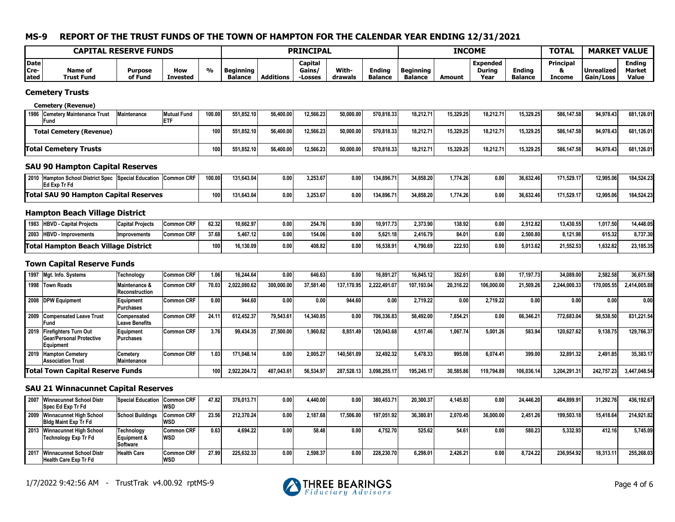|                             | <b>CAPITAL RESERVE FUNDS</b> |                    |                        |               |                             |                  | <b>PRINCIPAL</b>            |                         |                                 |                             | <b>INCOME</b> |                                          |                                 | <b>TOTAL</b>        | <b>MARKET VALUE</b>       |                                         |
|-----------------------------|------------------------------|--------------------|------------------------|---------------|-----------------------------|------------------|-----------------------------|-------------------------|---------------------------------|-----------------------------|---------------|------------------------------------------|---------------------------------|---------------------|---------------------------|-----------------------------------------|
| <b>Date</b><br>Cre-<br>ated | <b>Name of</b><br>Trust Fund | Purpose<br>of Fund | How<br><b>Invested</b> | $\frac{0}{0}$ | Beginning<br><b>Balance</b> | <b>Additions</b> | Capital<br>Gains/<br>Losses | <b>With-</b><br>drawals | <b>Ending</b><br><b>Balance</b> | Beginning<br><b>Balance</b> | Amount        | <b>Expended</b><br><b>During</b><br>Year | <b>Ending</b><br><b>Balance</b> | Principal<br>Income | l Unrealized<br>Gain/Loss | <b>Ending</b><br><b>Market</b><br>Value |

#### **Cemetery Trusts**

#### **Cemetery (Revenue)**

| 1986 Cemetery Maintenance Trust<br>'Fund | Maintenance | <b>Mutual Fund</b> | 100.00 | 551.852.10 | 56,400.00 | 12.566.23 | 50.000.00 | 570.818.33 | 18.212.71 | 15.329.25 | 18.212.71 | 15.329.25 | 586.147.58 | 94.978.43 | 681.126.01 |
|------------------------------------------|-------------|--------------------|--------|------------|-----------|-----------|-----------|------------|-----------|-----------|-----------|-----------|------------|-----------|------------|
| <b>Total Cemetery (Revenue)</b>          |             |                    | 100    | 551.852.10 | 56,400.00 | 12.566.23 | 50.000.00 | 570.818.33 | 18.212.71 | 15.329.25 | 18.212.71 | 15.329.25 | 586.147.58 | 94.978.43 | 681,126.01 |
| <b>Total Cemetery Trusts</b>             |             |                    | 100    | 551.852.10 | 56,400.00 | 12,566.23 | 50,000.00 | 570.818.33 | 18.212.71 | 15.329.25 | 18.212.71 | 15.329.25 | 586.147.58 | 94.978.43 | 681,126.01 |

## **SAU 90 Hampton Capital Reserves**

| 2010 Hampton School District Spec Special Education<br>Common CRF<br>Ed Exp Tr Fd | 100.00 | 131,643.04 | 0.00 | 3,253.67 | n nn<br>J.UU | 134,896.71 | 34,858.20 | ,774.26 | 0.00 | 36,632.46 | 171,529.17 | 12,995.06 | 184,524.23 |
|-----------------------------------------------------------------------------------|--------|------------|------|----------|--------------|------------|-----------|---------|------|-----------|------------|-----------|------------|
| <b>Total SAU 90 Hampton Capital Reserves</b>                                      | 100    | 131.643.04 | 0.00 | 3,253.67 | n nn<br>,vu  | 134.896.71 | 34.858.20 | .774.26 | 0.00 | 36.632.46 | 171.529.17 | 12.995.06 | 184.524.23 |

## **Hampton Beach Village District**

| 1983 | <b>HBVD - Capital Projects</b> | <b>Capital Projects</b> | <b>CDF</b><br>Common CRI | 62.32            | 10,662.97 | 0.00 | 254.76 | 0.00 | 10,917.73 | 2,373.90 | 138.92 | 0.00 | 2,512.82 | 13,430.55 | 1,017.50 | 14,448.05 |
|------|--------------------------------|-------------------------|--------------------------|------------------|-----------|------|--------|------|-----------|----------|--------|------|----------|-----------|----------|-----------|
|      | 2003 HBVD - Improvements       | <b>Improvements</b>     | Common CRF               | 37.68            | 5.467.12  | 0.00 | 154.06 | 0.00 | 5.621.18  | 2.416.79 | 84.01  | 0.00 | 2.500.80 | 3.121.98  | 615.32   | 8.737.30l |
|      | <b>Total Hampton Beach</b>     | Village District        |                          | 100 <sup>1</sup> | 16,130.09 | 0.00 | 408.82 | 0.00 | 16.538.91 | 1,790.69 | 222.93 | 0.00 | 1,013.62 | 21,552.53 | 1,632.82 | 23,185.35 |

## **Town Capital Reserve Funds**

| 1997 Mgt. Info. Systems                                             | Technology                                 | Common CRF        | 1.061 | 16.244.64    | 0.00 <sub>1</sub> | 646.63    | 0.00       | 16.891.27    | 16,845.12  | 352.61    | 0.00       | 17.197.73  | 34.089.00    | 2.582.58   | 36.671.58    |
|---------------------------------------------------------------------|--------------------------------------------|-------------------|-------|--------------|-------------------|-----------|------------|--------------|------------|-----------|------------|------------|--------------|------------|--------------|
| 1998 Town Roads                                                     | <b>Maintenance &amp;</b><br>Reconstruction | Common CRF        | 70.03 | 2,022,080.62 | 300.000.00        | 37.581.40 | 137,170.95 | 2.222.491.07 | 107.193.04 | 20.316.22 | 106.000.00 | 21,509.26  | 2,244,000.33 | 170.005.55 | 2,414,005.88 |
| 2008 DPW Equipment                                                  | Equipment<br>Purchases                     | <b>Common CRF</b> | 0.00  | 944.60       | 0.00              | 0.00      | 944.60     | 0.00         | 2.719.22   | 0.00      | 2.719.22   | 0.00       | 0.00         | 0.00       | 0.001        |
| 2009 Compensated Leave Trust<br>lFund                               | Compensated<br>Leave Benefits              | <b>Common CRF</b> | 24.11 | 612.452.37   | 79,543.61         | 14.340.85 | 0.00       | 706,336.83   | 58.492.00  | 7.854.21  | 0.00       | 66.346.21  | 772.683.04   | 58,538.50  | 831.221.54   |
| 2019 Firefighters Turn Out<br>Gear/Personal Protective<br>Equipment | Equipment<br>Purchases                     | Common CRF        | 3.76  | 99.434.35    | 27,500.00         | 1.960.82  | 8.851.49   | 120.043.68   | 4.517.46   | 1.067.74  | 5.001.26   | 583.94     | 120.627.62   | 9,138.75   | 129.766.37   |
| 2019 Hampton Cemetery<br><b>Association Trust</b>                   | Cemetery<br>Maintenance                    | Common CRF        | 1.03  | 171.048.14   | 0.00              | 2,005.27  | 140.561.09 | 32.492.32    | 5.478.33   | 995.08    | 6.074.41   | 399.00     | 32,891.32    | 2.491.85   | 35,383,17    |
| <b>Total Town Capital Reserve Funds</b>                             |                                            |                   | 100   | 2,922,204.72 | 407.043.61        | 56,534.97 | 287,528.13 | 3,098,255.17 | 195,245.17 | 30.585.86 | 119.794.89 | 106.036.14 | 3,204,291.31 | 242,757.23 | 3,447,048.54 |

## **SAU 21 Winnacunnet Capital Reserves**

| 2007 Winnacunnet School Distr<br>Spec Ed Exp Tr Fd            | Special Education Common CRF          | WSD                      | 47.82 | 376.013.71 | 0.00 | 4.440.00 | 0.00      | 380.453.71 | 20,300,37 | 4.145.83 | 0.00      | 24.446.20 | 404.899.91 | 31,292.76 | 436.192.67 |
|---------------------------------------------------------------|---------------------------------------|--------------------------|-------|------------|------|----------|-----------|------------|-----------|----------|-----------|-----------|------------|-----------|------------|
| 2009 Winnacunnet High School<br><b>Bidg Maint Exp Tr Fd</b>   | School Buildings                      | <b>Common CRF</b><br>WSD | 23.56 | 212.370.24 | 0.00 | 2.187.68 | 17.506.00 | 197.051.92 | 36,380.81 | 2.070.45 | 36,000.00 | 2.451.26  | 199.503.18 | 15.418.64 | 214,921.82 |
| 2013 Winnacunnet High School<br>Technology Exp Tr Fd          | Technology<br>Equipment &<br>Software | <b>Common CRF</b><br>WSD | 0.63  | 4.694.22   | 0.00 | 58.48    | 0.00      | 4.752.70   | 525.62    | 54.61    | 0.00      | 580.23    | 5.332.93   | 412.16    | 5.745.09   |
| 2017 Winnacunnet School Distr<br><b>Health Care Exp Tr Fd</b> | <b>Health Care</b>                    | <b>Common CRF</b><br>WSD | 27.99 | 225.632.33 | 0.00 | 2,598.37 | 0.00      | 228.230.70 | 6.298.01  | 2.426.21 | 0.00      | 8.724.22  | 236.954.92 | 18,313.11 | 255.268.03 |

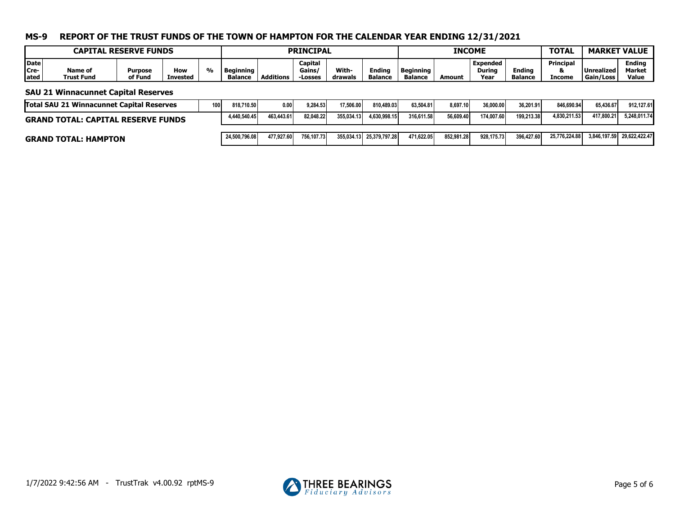|                             |                              | <b>CAPITAL RESERVE FUNDS</b> |                        |       |                             |                  | <b>PRINCIPAL</b>            |                  |                                 |                             | <b>INCOME</b> |                            |                                 | <b>TOTAL</b>             | <b>MARKET VALUE</b>            |                                  |
|-----------------------------|------------------------------|------------------------------|------------------------|-------|-----------------------------|------------------|-----------------------------|------------------|---------------------------------|-----------------------------|---------------|----------------------------|---------------------------------|--------------------------|--------------------------------|----------------------------------|
| <b>Date</b><br>Cre-<br>ated | <b>Name of</b><br>Trust Fund | Purpose<br>of Fund           | How<br><b>Invested</b> | $0/-$ | Beginning<br><b>Balance</b> | <b>Additions</b> | Capital<br>Gains,<br>Losses | With-<br>drawals | <b>Ending</b><br><b>Balance</b> | Beginning<br><b>Balance</b> | Amount        | Expended<br>During<br>Year | <b>Ending</b><br><b>Balance</b> | Principal<br>α<br>Income | Unrealized<br><b>Gain/Loss</b> | <b>Ending</b><br>Market<br>Value |

#### **SAU 21 Winnacunnet Capital Reserves**

| <b>Total SAU 21 Winnacunnet Capital Reserves</b> | 100. | 818.710.50    | 0.00       | 9.284.53   | 17.506.00  | 810.489.03               | 63.504.81  | 8.697.10   | 36,000,00  | 36.201.91  | 846.690.94    | 65.436.67  | 912.127.61                 |
|--------------------------------------------------|------|---------------|------------|------------|------------|--------------------------|------------|------------|------------|------------|---------------|------------|----------------------------|
| <b>GRAND TOTAL: CAPITAL RESERVE FUNDS</b>        |      | 4.440.540.45  | 463.443.61 | 82.048.22  | 355.034.13 | 4.630.998.15             | 316.611.58 | 56.609.40  | 174.007.60 | 199.213.38 | 4.830.211.53  | 417.800.21 | 5.248.011.74               |
| <b>GRAND TOTAL: HAMPTON</b>                      |      | 24.500.796.08 | 477.927.60 | 756.107.73 |            | 355,034.13 25,379,797.28 | 471.622.05 | 852.981.28 | 928.175.73 | 396.427.60 | 25.776.224.88 |            | 3.846.197.59 29.622.422.47 |